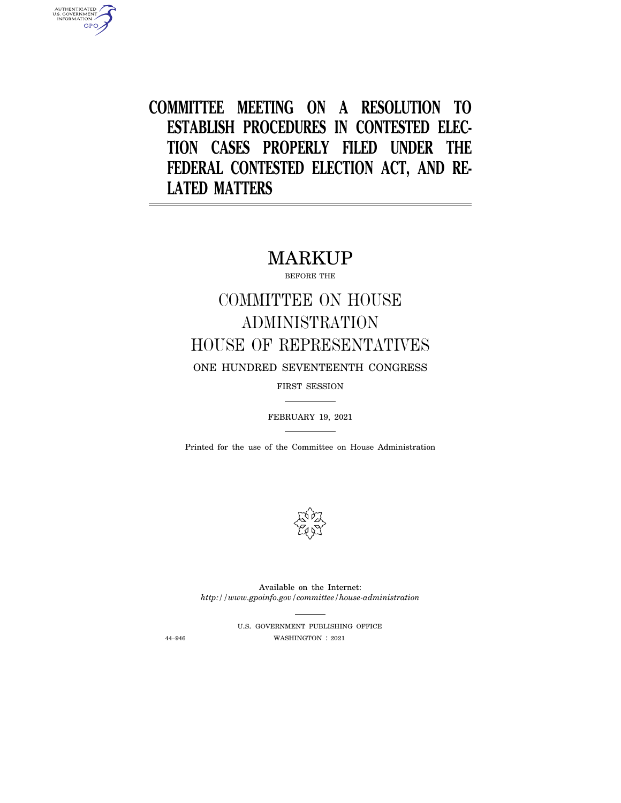**COMMITTEE MEETING ON A RESOLUTION TO ESTABLISH PROCEDURES IN CONTESTED ELEC-TION CASES PROPERLY FILED UNDER THE FEDERAL CONTESTED ELECTION ACT, AND RE-LATED MATTERS** 

## MARKUP

BEFORE THE

# COMMITTEE ON HOUSE ADMINISTRATION HOUSE OF REPRESENTATIVES ONE HUNDRED SEVENTEENTH CONGRESS

FIRST SESSION

FEBRUARY 19, 2021

Printed for the use of the Committee on House Administration



Available on the Internet: *http://www.gpoinfo.gov/committee/house-administration* 

U.S. GOVERNMENT PUBLISHING OFFICE 44–946 WASHINGTON : 2021

AUTHENTICATED<br>U.S. GOVERNMENT<br>INFORMATION **GPO**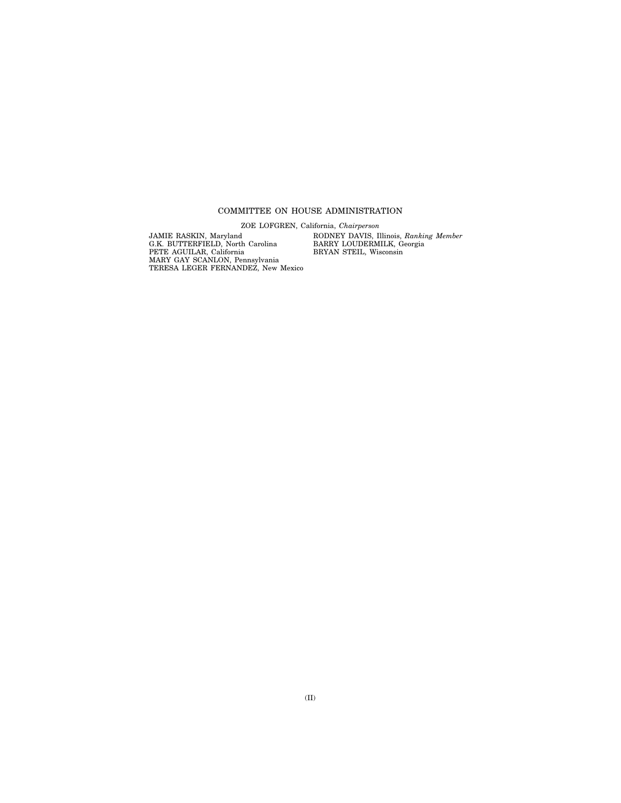#### COMMITTEE ON HOUSE ADMINISTRATION

ZOE LOFGREN, California, *Chairperson* 

JAMIE RASKIN, Maryland G.K. BUTTERFIELD, North Carolina PETE AGUILAR, California MARY GAY SCANLON, Pennsylvania TERESA LEGER FERNANDEZ, New Mexico RODNEY DAVIS, Illinois, *Ranking Member*  BARRY LOUDERMILK, Georgia BRYAN STEIL, Wisconsin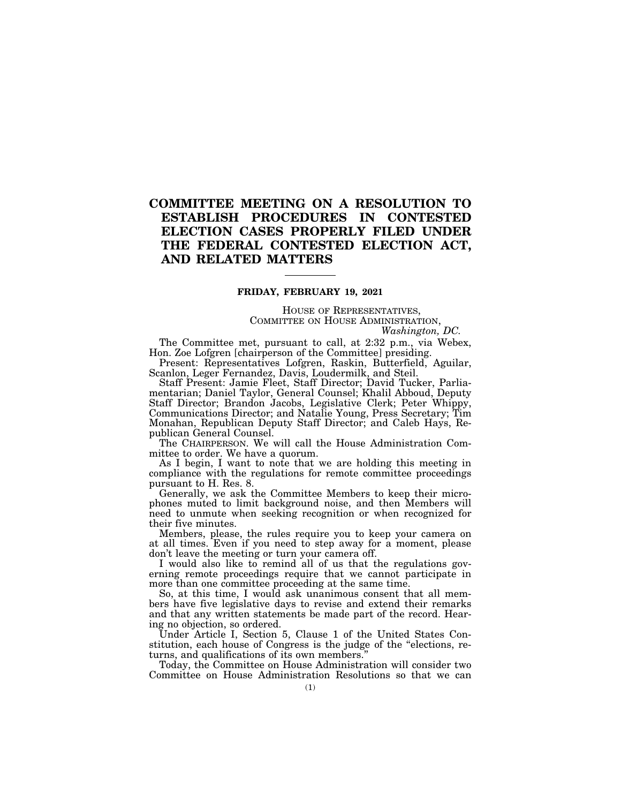## **COMMITTEE MEETING ON A RESOLUTION TO ESTABLISH PROCEDURES IN CONTESTED ELECTION CASES PROPERLY FILED UNDER THE FEDERAL CONTESTED ELECTION ACT, AND RELATED MATTERS**

#### **FRIDAY, FEBRUARY 19, 2021**

HOUSE OF REPRESENTATIVES, COMMITTEE ON HOUSE ADMINISTRATION, *Washington, DC.* 

The Committee met, pursuant to call, at 2:32 p.m., via Webex, Hon. Zoe Lofgren [chairperson of the Committee] presiding.

Present: Representatives Lofgren, Raskin, Butterfield, Aguilar, Scanlon, Leger Fernandez, Davis, Loudermilk, and Steil.

Staff Present: Jamie Fleet, Staff Director; David Tucker, Parliamentarian; Daniel Taylor, General Counsel; Khalil Abboud, Deputy Staff Director; Brandon Jacobs, Legislative Clerk; Peter Whippy, Communications Director; and Natalie Young, Press Secretary; Tim Monahan, Republican Deputy Staff Director; and Caleb Hays, Republican General Counsel.

The CHAIRPERSON. We will call the House Administration Committee to order. We have a quorum.

As I begin, I want to note that we are holding this meeting in compliance with the regulations for remote committee proceedings pursuant to H. Res. 8.

Generally, we ask the Committee Members to keep their microphones muted to limit background noise, and then Members will need to unmute when seeking recognition or when recognized for their five minutes.

Members, please, the rules require you to keep your camera on at all times. Even if you need to step away for a moment, please don't leave the meeting or turn your camera off.

I would also like to remind all of us that the regulations governing remote proceedings require that we cannot participate in more than one committee proceeding at the same time.

So, at this time, I would ask unanimous consent that all members have five legislative days to revise and extend their remarks and that any written statements be made part of the record. Hearing no objection, so ordered.

Under Article I, Section 5, Clause 1 of the United States Constitution, each house of Congress is the judge of the "elections, returns, and qualifications of its own members.''

Today, the Committee on House Administration will consider two Committee on House Administration Resolutions so that we can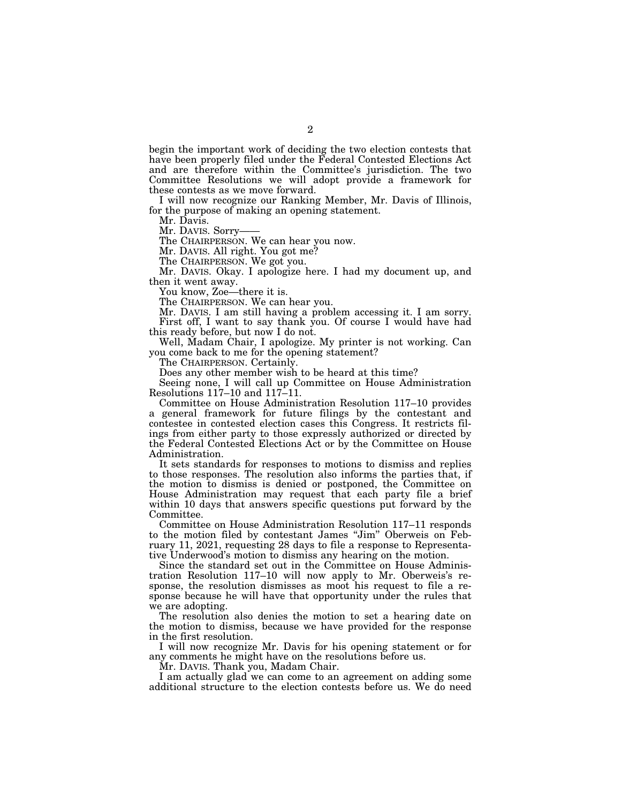begin the important work of deciding the two election contests that have been properly filed under the Federal Contested Elections Act and are therefore within the Committee's jurisdiction. The two Committee Resolutions we will adopt provide a framework for these contests as we move forward.

I will now recognize our Ranking Member, Mr. Davis of Illinois, for the purpose of making an opening statement.

Mr. Davis.

Mr. DAVIS. Sorry-

The CHAIRPERSON. We can hear you now.

Mr. DAVIS. All right. You got me?

The CHAIRPERSON. We got you.

Mr. DAVIS. Okay. I apologize here. I had my document up, and then it went away.

You know, Zoe—there it is.

The CHAIRPERSON. We can hear you.

Mr. DAVIS. I am still having a problem accessing it. I am sorry. First off, I want to say thank you. Of course I would have had this ready before, but now I do not.

Well, Madam Chair, I apologize. My printer is not working. Can you come back to me for the opening statement?

The CHAIRPERSON. Certainly.

Does any other member wish to be heard at this time?

Seeing none, I will call up Committee on House Administration Resolutions 117–10 and 117–11.

Committee on House Administration Resolution 117–10 provides a general framework for future filings by the contestant and contestee in contested election cases this Congress. It restricts filings from either party to those expressly authorized or directed by the Federal Contested Elections Act or by the Committee on House Administration.

It sets standards for responses to motions to dismiss and replies to those responses. The resolution also informs the parties that, if the motion to dismiss is denied or postponed, the Committee on House Administration may request that each party file a brief within 10 days that answers specific questions put forward by the Committee.

Committee on House Administration Resolution 117–11 responds to the motion filed by contestant James ''Jim'' Oberweis on February 11, 2021, requesting 28 days to file a response to Representative Underwood's motion to dismiss any hearing on the motion.

Since the standard set out in the Committee on House Administration Resolution 117–10 will now apply to Mr. Oberweis's response, the resolution dismisses as moot his request to file a response because he will have that opportunity under the rules that we are adopting.

The resolution also denies the motion to set a hearing date on the motion to dismiss, because we have provided for the response in the first resolution.

I will now recognize Mr. Davis for his opening statement or for any comments he might have on the resolutions before us.

Mr. DAVIS. Thank you, Madam Chair.

I am actually glad we can come to an agreement on adding some additional structure to the election contests before us. We do need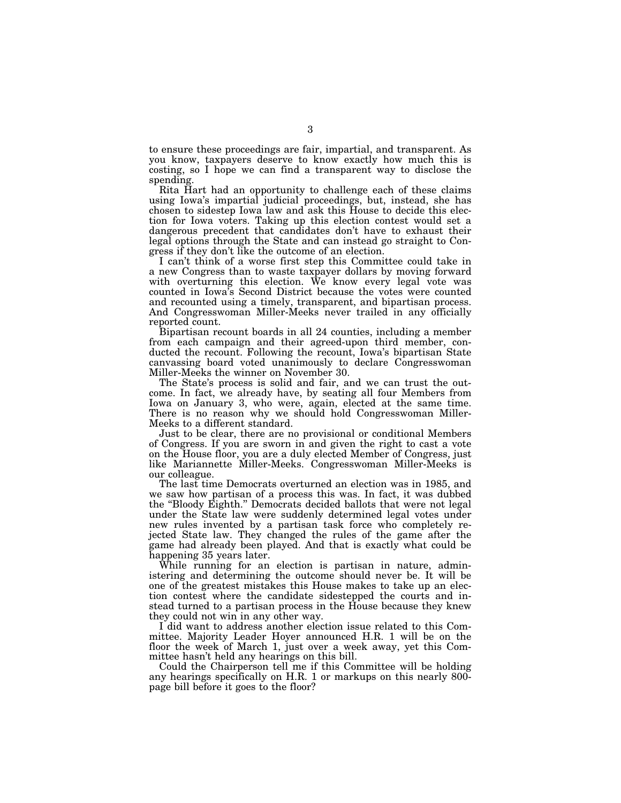to ensure these proceedings are fair, impartial, and transparent. As you know, taxpayers deserve to know exactly how much this is costing, so I hope we can find a transparent way to disclose the spending.

Rita Hart had an opportunity to challenge each of these claims using Iowa's impartial judicial proceedings, but, instead, she has chosen to sidestep Iowa law and ask this House to decide this election for Iowa voters. Taking up this election contest would set a dangerous precedent that candidates don't have to exhaust their legal options through the State and can instead go straight to Congress if they don't like the outcome of an election.

I can't think of a worse first step this Committee could take in a new Congress than to waste taxpayer dollars by moving forward with overturning this election. We know every legal vote was counted in Iowa's Second District because the votes were counted and recounted using a timely, transparent, and bipartisan process. And Congresswoman Miller-Meeks never trailed in any officially reported count.

Bipartisan recount boards in all 24 counties, including a member from each campaign and their agreed-upon third member, conducted the recount. Following the recount, Iowa's bipartisan State canvassing board voted unanimously to declare Congresswoman Miller-Meeks the winner on November 30.

The State's process is solid and fair, and we can trust the outcome. In fact, we already have, by seating all four Members from Iowa on January 3, who were, again, elected at the same time. There is no reason why we should hold Congresswoman Miller-Meeks to a different standard.

Just to be clear, there are no provisional or conditional Members of Congress. If you are sworn in and given the right to cast a vote on the House floor, you are a duly elected Member of Congress, just like Mariannette Miller-Meeks. Congresswoman Miller-Meeks is our colleague.

The last time Democrats overturned an election was in 1985, and we saw how partisan of a process this was. In fact, it was dubbed the ''Bloody Eighth.'' Democrats decided ballots that were not legal under the State law were suddenly determined legal votes under new rules invented by a partisan task force who completely rejected State law. They changed the rules of the game after the game had already been played. And that is exactly what could be happening 35 years later.

While running for an election is partisan in nature, administering and determining the outcome should never be. It will be one of the greatest mistakes this House makes to take up an election contest where the candidate sidestepped the courts and instead turned to a partisan process in the House because they knew they could not win in any other way.

I did want to address another election issue related to this Committee. Majority Leader Hoyer announced H.R. 1 will be on the floor the week of March 1, just over a week away, yet this Committee hasn't held any hearings on this bill.

Could the Chairperson tell me if this Committee will be holding any hearings specifically on H.R. 1 or markups on this nearly 800 page bill before it goes to the floor?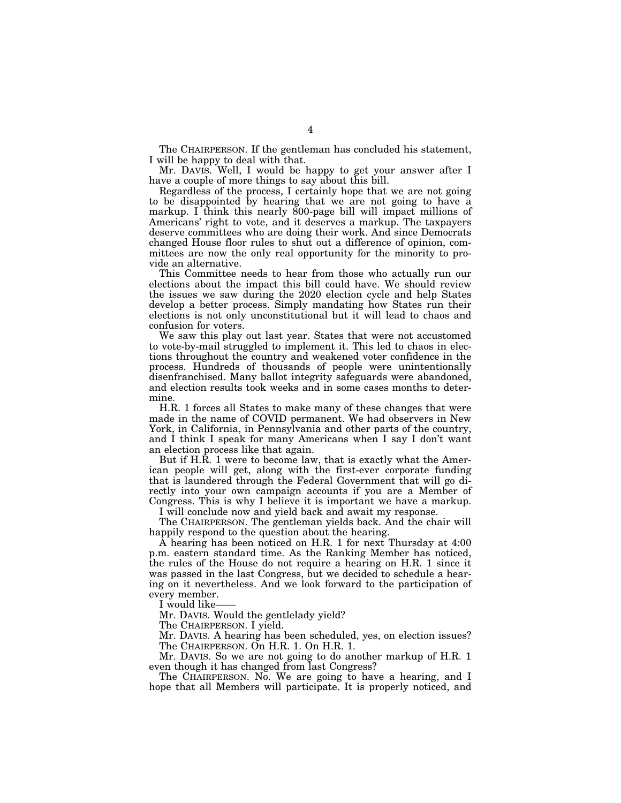The CHAIRPERSON. If the gentleman has concluded his statement, I will be happy to deal with that.

Mr. DAVIS. Well, I would be happy to get your answer after I have a couple of more things to say about this bill.

Regardless of the process, I certainly hope that we are not going to be disappointed by hearing that we are not going to have a markup. I think this nearly 800-page bill will impact millions of Americans' right to vote, and it deserves a markup. The taxpayers deserve committees who are doing their work. And since Democrats changed House floor rules to shut out a difference of opinion, committees are now the only real opportunity for the minority to provide an alternative.

This Committee needs to hear from those who actually run our elections about the impact this bill could have. We should review the issues we saw during the 2020 election cycle and help States develop a better process. Simply mandating how States run their elections is not only unconstitutional but it will lead to chaos and confusion for voters.

We saw this play out last year. States that were not accustomed to vote-by-mail struggled to implement it. This led to chaos in elections throughout the country and weakened voter confidence in the process. Hundreds of thousands of people were unintentionally disenfranchised. Many ballot integrity safeguards were abandoned, and election results took weeks and in some cases months to determine.

H.R. 1 forces all States to make many of these changes that were made in the name of COVID permanent. We had observers in New York, in California, in Pennsylvania and other parts of the country, and I think I speak for many Americans when I say I don't want an election process like that again.

But if H.R. 1 were to become law, that is exactly what the American people will get, along with the first-ever corporate funding that is laundered through the Federal Government that will go directly into your own campaign accounts if you are a Member of Congress. This is why I believe it is important we have a markup. I will conclude now and yield back and await my response.

The CHAIRPERSON. The gentleman yields back. And the chair will

happily respond to the question about the hearing.

A hearing has been noticed on H.R. 1 for next Thursday at 4:00 p.m. eastern standard time. As the Ranking Member has noticed, the rules of the House do not require a hearing on H.R. 1 since it was passed in the last Congress, but we decided to schedule a hearing on it nevertheless. And we look forward to the participation of every member.

I would like-

Mr. DAVIS. Would the gentlelady yield?

The CHAIRPERSON. I yield.

Mr. DAVIS. A hearing has been scheduled, yes, on election issues? The CHAIRPERSON. On H.R. 1. On H.R. 1.

Mr. DAVIS. So we are not going to do another markup of H.R. 1 even though it has changed from last Congress?

The CHAIRPERSON. No. We are going to have a hearing, and I hope that all Members will participate. It is properly noticed, and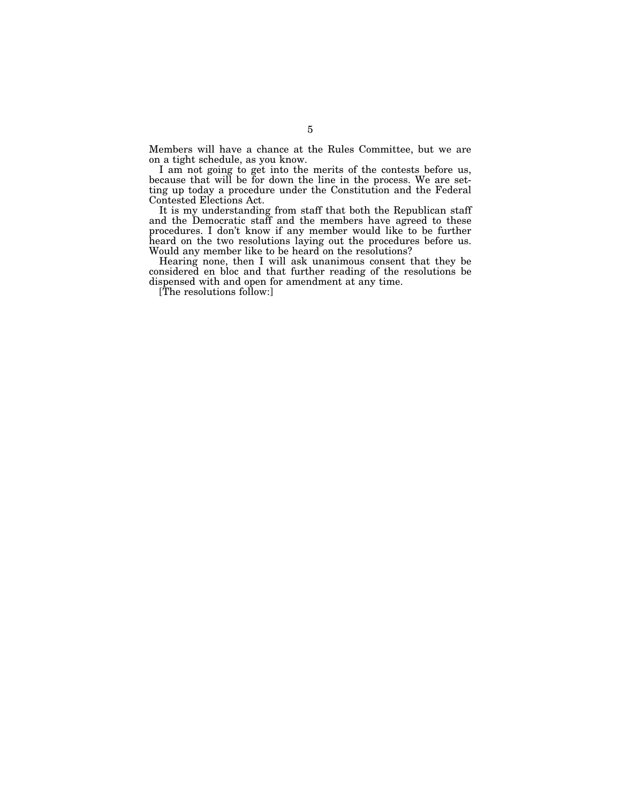Members will have a chance at the Rules Committee, but we are on a tight schedule, as you know.

I am not going to get into the merits of the contests before us, because that will be for down the line in the process. We are setting up today a procedure under the Constitution and the Federal Contested Elections Act.

It is my understanding from staff that both the Republican staff and the Democratic staff and the members have agreed to these procedures. I don't know if any member would like to be further heard on the two resolutions laying out the procedures before us. Would any member like to be heard on the resolutions?

Hearing none, then I will ask unanimous consent that they be considered en bloc and that further reading of the resolutions be dispensed with and open for amendment at any time.

[The resolutions follow:]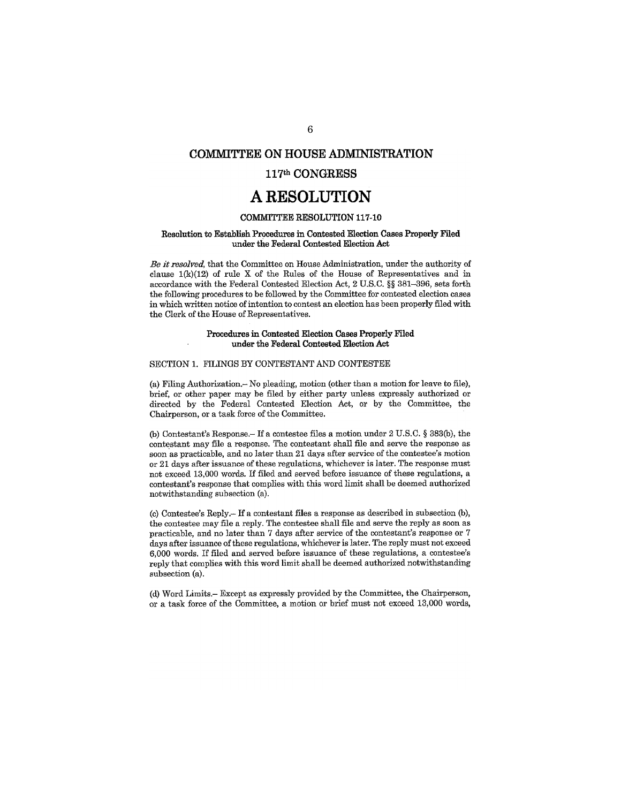### **COMMITTEE ON HOUSE ADMINISTRATION**

## 117th CONGRESS

## A RESOLUTION

#### **COMMITTEE RESOLUTION 117-10**

#### Resolution to Establish Procedures in Contested Election Cases Properly Filed under the Federal Contested Election Act

Be it resolved, that the Committee on House Administration, under the authority of clause  $1(k)(12)$  of rule X of the Rules of the House of Representatives and in accordance with the Federal Contested Election Act, 2 U.S.C. §§ 381-396, sets forth the following procedures to be followed by the Committee for contested election cases in which written notice of intention to contest an election has been properly filed with the Clerk of the House of Representatives.

#### Procedures in Contested Election Cases Properly Filed under the Federal Contested Election Act

#### SECTION 1. FILINGS BY CONTESTANT AND CONTESTEE

(a) Filing Authorization. - No pleading, motion (other than a motion for leave to file), brief, or other paper may be filed by either party unless expressly authorized or directed by the Federal Contested Election Act, or by the Committee, the Chairperson, or a task force of the Committee.

(b) Contestant's Response.- If a contestee files a motion under 2 U.S.C. § 383(b), the contestant may file a response. The contestant shall file and serve the response as soon as practicable, and no later than 21 days after service of the contestee's motion or 21 days after issuance of these regulations, whichever is later. The response must not exceed 13,000 words. If filed and served before issuance of these regulations, a contestant's response that complies with this word limit shall be deemed authorized notwithstanding subsection (a).

(c) Contestee's Reply.- If a contestant files a response as described in subsection (b), the contestee may file a reply. The contestee shall file and serve the reply as soon as practicable, and no later than 7 days after service of the contestant's response or 7 days after issuance of these regulations, whichever is later. The reply must not exceed 6,000 words. If filed and served before issuance of these regulations, a contestee's reply that complies with this word limit shall be deemed authorized notwithstanding subsection (a).

(d) Word Limits.- Except as expressly provided by the Committee, the Chairperson, or a task force of the Committee, a motion or brief must not exceed 13,000 words,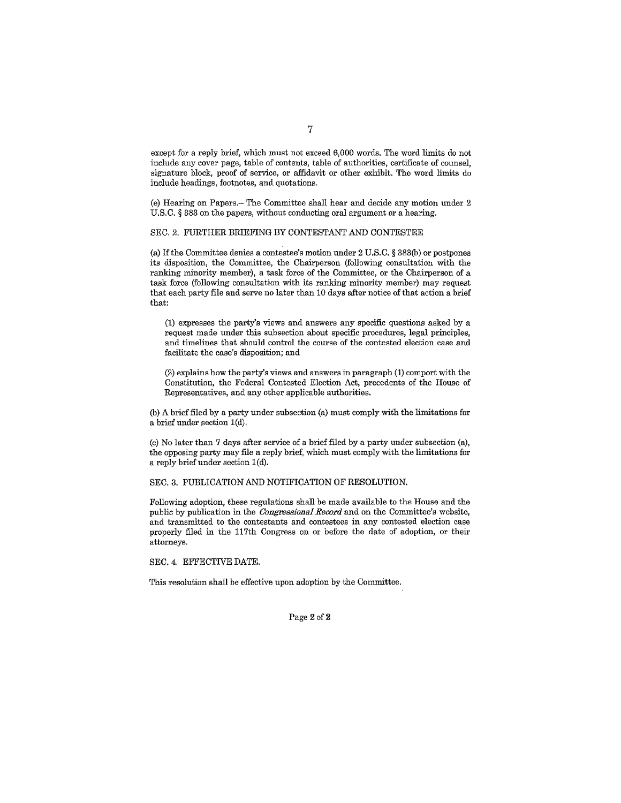except for a reply brief, which must not exceed 6,000 words. The word limits do not include any cover page, table of contents, table of authorities, certificate of counsel, signature block, proof of service, or affidavit or other exhibit. The word limits do include headings, footnotes, and quotations.

(e) Hearing on Papers.-- The Committee shall hear and decide any motion under 2 U.S.C. § 383 on the papers, without conducting oral argument or a hearing.

#### SEC. 2. FURTHER BRIEFING BY CONTESTANT AND CONTESTEE

(a) If the Committee denies a contestee's motion under 2 U.S.C. § 383(b) or postpones its disposition, the Committee, the Chairperson (following consultation with the ranking minority member), a task force of the Committee, or the Chairperson of a task force (following consultation with its ranking minority member) may request that each party file and serve no later than 10 days after notice of that action a brief that:

(1) expresses the party's views and answers any specific questions asked by a request made under this subsection about specific procedures, legal principles, and timelines that should control the course of the contested election case and facilitate the case's disposition; and

(2) explains how the party's views and answers in paragraph (1) comport with the Constitution, the Federal Contested Election Act, precedents of the House of Representatives, and any other applicable authorities.

(b) A brief filed by a party under subsection (a) must comply with the limitations for a brief under section 1(d).

(c) No later than 7 days after service of a brief filed by a party under subsection (a), the opposing party may file a reply brief, which must comply with the limitations for a reply brief under section 1(d).

#### SEC. 3. PUBLICATION AND NOTIFICATION OF RESOLUTION.

Following adoption, these regulations shall be made available to the House and the public by publication in the *Congressional Record* and on the Committee's website, and transmitted to the contestants and contestees in any contested election case properly filed in the 117th Congress on or before the date of adoption, or their attorneys.

#### SEC. 4. EFFECTIVE DATE.

This resolution shall be effective upon adoption by the Committee.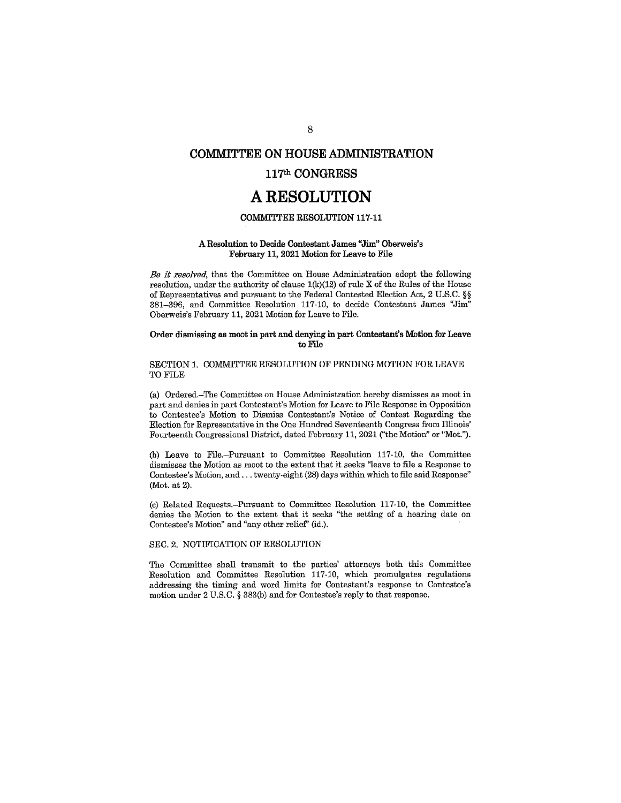### **COMMITTEE ON HOUSE ADMINISTRATION**

### 117th CONGRESS

## **A RESOLUTION**

#### **COMMITTEE RESOLUTION 117-11**

#### A Resolution to Decide Contestant James "Jim" Oberweis's February 11, 2021 Motion for Leave to File

Be it resolved, that the Committee on House Administration adopt the following resolution, under the authority of clause  $1(k)(12)$  of rule X of the Rules of the House of Representatives and pursuant to the Federal Contested Election Act, 2 U.S.C. §§ 381-396, and Committee Resolution 117-10, to decide Contestant James "Jim" Oberweis's February 11, 2021 Motion for Leave to File.

#### Order dismissing as moot in part and denying in part Contestant's Motion for Leave to File

#### SECTION 1. COMMITTEE RESOLUTION OF PENDING MOTION FOR LEAVE TO FILE

(a) Ordered.-The Committee on House Administration hereby dismisses as moot in part and denies in part Contestant's Motion for Leave to File Response in Opposition to Contestee's Motion to Dismiss Contestant's Notice of Contest Regarding the Election for Representative in the One Hundred Seventeenth Congress from Illinois' Fourteenth Congressional District, dated February 11, 2021 ("the Motion" or "Mot.").

(b) Leave to File.-Pursuant to Committee Resolution 117-10, the Committee dismisses the Motion as moot to the extent that it seeks "leave to file a Response to Contestee's Motion, and ... twenty-eight (28) days within which to file said Response" (Mot. at 2).

(c) Related Requests.--Pursuant to Committee Resolution 117-10, the Committee denies the Motion to the extent that it seeks "the setting of a hearing date on Contestee's Motion" and "any other relief" (id.).

#### SEC. 2. NOTIFICATION OF RESOLUTION

The Committee shall transmit to the parties' attorneys both this Committee Resolution and Committee Resolution 117-10, which promulgates regulations addressing the timing and word limits for Contestant's response to Contestee's motion under 2 U.S.C. § 383(b) and for Contestee's reply to that response.

8